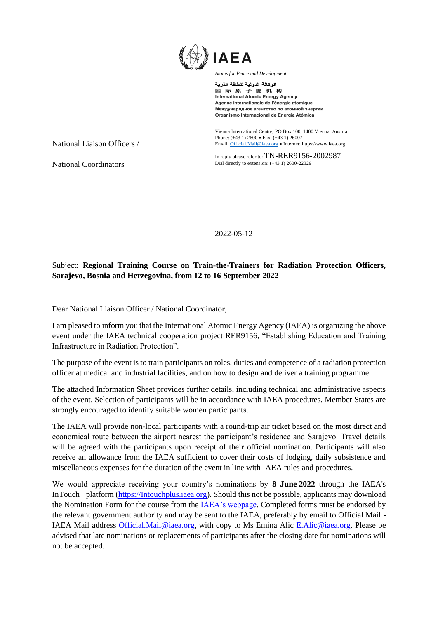

الوكالة الدولية للطاقة الذرية 国际原子能机构 **International Atomic Energy Agency** Agence internationale de l'énergie atomique Международное агентство по атомной энергии Organismo Internacional de Energía Atómica

Vienna International Centre, PO Box 100, 1400 Vienna, Austria Phone: (+43 1) 2600 • Fax: (+43 1) 26007 Email[: Official.Mail@iaea.org](mailto:official.mail@iaea.org) • Internet[: https://www.iaea.org](https://www.iaea.org/)

In reply please refer to: TN-RER9156-2002987 Dial directly to extension: (+43 1) 2600-22329

2022-05-12

## Subject: **Regional Training Course on Train-the-Trainers for Radiation Protection Officers, Sarajevo, Bosnia and Herzegovina, from 12 to 16 September 2022**

Dear National Liaison Officer / National Coordinator,

I am pleased to inform you that the International Atomic Energy Agency (IAEA) is organizing the above event under the IAEA technical cooperation project RER9156**,** "Establishing Education and Training Infrastructure in Radiation Protection".

The purpose of the event is to train participants on roles, duties and competence of a radiation protection officer at medical and industrial facilities, and on how to design and deliver a training programme.

The attached Information Sheet provides further details, including technical and administrative aspects of the event. Selection of participants will be in accordance with IAEA procedures. Member States are strongly encouraged to identify suitable women participants.

The IAEA will provide non-local participants with a round-trip air ticket based on the most direct and economical route between the airport nearest the participant's residence and Sarajevo. Travel details will be agreed with the participants upon receipt of their official nomination. Participants will also receive an allowance from the IAEA sufficient to cover their costs of lodging, daily subsistence and miscellaneous expenses for the duration of the event in line with IAEA rules and procedures.

We would appreciate receiving your country's nominations by **8 June 2022** through the IAEA's InTouch+ platform [\(https://Intouchplus.iaea.org\)](https://intouchplus.iaea.org/). Should this not be possible, applicants may download the Nomination Form for the course from th[e IAEA's webpage.](https://www.iaea.org/services/technical-cooperation-programme/how-to-participate) Completed forms must be endorsed by the relevant government authority and may be sent to the IAEA, preferably by email to Official Mail - IAEA Mail address [Official.Mail@iaea.org,](mailto:Official.Mail@iaea.org) with copy to Ms Emina Alic E.Alic@iaea.org. Please be advised that late nominations or replacements of participants after the closing date for nominations will not be accepted.

National Liaison Officers /

National Coordinators